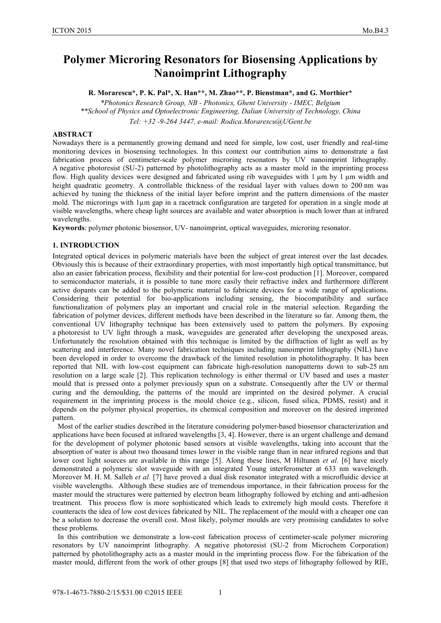# **Polymer Microring Resonators for Biosensing Applications by Nanoimprint Lithography**

**R. Morarescu\*, P. K. Pal\*, X. Han\*\*, M. Zhao\*\*, P. Bienstman\*, and G. Morthier\***

*\*Photonics Research Group, NB - Photonics, Ghent University - IMEC, Belgium \*\*School of Physics and Optoelectronic Engineering, Dalian University of Technology, China Tel: +32 -9-264 3447, e-mail: Rodica.Morarescu@UGent.be*

#### **ABSTRACT**

Nowadays there is a permanently growing demand and need for simple, low cost, user friendly and real-time monitoring devices in biosensing technologies. In this context our contribution aims to demonstrate a fast fabrication process of centimeter-scale polymer microring resonators by UV nanoimprint lithography. A negative photoresist (SU-2) patterned by photolithography acts as a master mold in the imprinting process flow. High quality devices were designed and fabricated using rib waveguides with 1 um by 1 um width and height quadratic geometry. A controllable thickness of the residual layer with values down to 200 nm was achieved by tuning the thickness of the initial layer before imprint and the pattern dimensions of the master mold. The microrings with 1µm gap in a racetrack configuration are targeted for operation in a single mode at visible wavelengths, where cheap light sources are available and water absorption is much lower than at infrared wavelengths.

**Keywords**: polymer photonic biosensor, UV- nanoimprint, optical waveguides, microring resonator.

#### **1. INTRODUCTION**

Integrated optical devices in polymeric materials have been the subject of great interest over the last decades. Obviously this is because of their extraordinary properties, with most importantly high optical transmittance, but also an easier fabrication process, flexibility and their potential for low-cost production [1]. Moreover, compared to semiconductor materials, it is possible to tune more easily their refractive index and furthermore different active dopants can be added to the polymeric material to fabricate devices for a wide range of applications. Considering their potential for bio-applications including sensing, the biocompatibility and surface functionalization of polymers play an important and crucial role in the material selection. Regarding the fabrication of polymer devices, different methods have been described in the literature so far. Among them, the conventional UV lithography technique has been extensively used to pattern the polymers. By exposing a photoresist to UV light through a mask, waveguides are generated after developing the unexposed areas. Unfortunately the resolution obtained with this technique is limited by the diffraction of light as well as by scattering and interference. Many novel fabrication techniques including nanoimprint lithography (NIL) have been developed in order to overcome the drawback of the limited resolution in photolithography. It has been reported that NIL with low-cost equipment can fabricate high-resolution nanopatterns down to sub-25 nm resolution on a large scale [2]. This replication technology is either thermal or UV based and uses a master mould that is pressed onto a polymer previously spun on a substrate. Consequently after the UV or thermal curing and the demoulding, the patterns of the mould are imprinted on the desired polymer. A crucial requirement in the imprinting process is the mould choice (e.g., silicon, fused silica, PDMS, resist) and it depends on the polymer physical properties, its chemical composition and moreover on the desired imprinted pattern.

Most of the earlier studies described in the literature considering polymer-based biosensor characterization and applications have been focused at infrared wavelengths [3, 4]. However, there is an urgent challenge and demand for the development of polymer photonic based sensors at visible wavelengths, taking into account that the absorption of water is about two thousand times lower in the visible range than in near infrared regions and that lower cost light sources are available in this range [5]. Along these lines, M Hiltunen *et al.* [6] have nicely demonstrated a polymeric slot waveguide with an integrated Young interferometer at 633 nm wavelength. Moreover M. H. M. Salleh *et al.* [7] have proved a dual disk resonator integrated with a microfluidic device at visible wavelengths. Although these studies are of tremendous importance, in their fabrication process for the master mould the structures were patterned by electron beam lithography followed by etching and anti-adhesion treatment. This process flow is more sophisticated which leads to extremely high mould costs. Therefore it counteracts the idea of low cost devices fabricated by NIL. The replacement of the mould with a cheaper one can be a solution to decrease the overall cost. Most likely, polymer moulds are very promising candidates to solve these problems.

In this contribution we demonstrate a low-cost fabrication process of centimeter-scale polymer microring resonators by UV nanoimprint lithography. A negative photoresist (SU-2 from Microchem Corporation) patterned by photolithography acts as a master mould in the imprinting process flow. For the fabrication of the master mould, different from the work of other groups [8] that used two steps of lithography followed by RIE,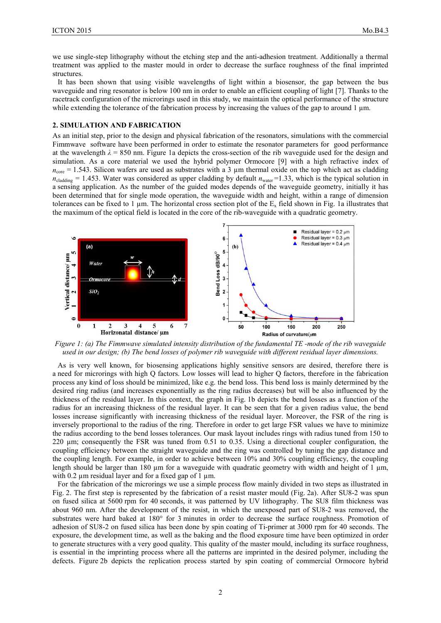we use single-step lithography without the etching step and the anti-adhesion treatment. Additionally a thermal treatment was applied to the master mould in order to decrease the surface roughness of the final imprinted structures.

It has been shown that using visible wavelengths of light within a biosensor, the gap between the bus waveguide and ring resonator is below 100 nm in order to enable an efficient coupling of light [7]. Thanks to the racetrack configuration of the microrings used in this study, we maintain the optical performance of the structure while extending the tolerance of the fabrication process by increasing the values of the gap to around  $1 \mu m$ .

### **2. SIMULATION AND FABRICATION**

As an initial step, prior to the design and physical fabrication of the resonators, simulations with the commercial Fimmwave software have been performed in order to estimate the resonator parameters for good performance at the wavelength  $\lambda = 850$  nm. Figure 1a depicts the cross-section of the rib waveguide used for the design and simulation. As a core material we used the hybrid polymer Ormocore [9] with a high refractive index of  $n_{\text{core}} = 1.543$ . Silicon wafers are used as substrates with a 3  $\mu$ m thermal oxide on the top which act as cladding  $n_{\text{cladding}} = 1.453$ . Water was considered as upper cladding by default  $n_{\text{water}} = 1.33$ , which is the typical solution in a sensing application. As the number of the guided modes depends of the waveguide geometry, initially it has been determined that for single mode operation, the waveguide width and height, within a range of dimension tolerances can be fixed to 1  $\mu$ m. The horizontal cross section plot of the E<sub>x</sub> field shown in Fig. 1a illustrates that the maximum of the optical field is located in the core of the rib-waveguide with a quadratic geometry.



*Figure 1: (a) The Fimmwave simulated intensity distribution of the fundamental TE -mode of the rib waveguide used in our design; (b) The bend losses of polymer rib waveguide with different residual layer dimensions.*

As is very well known, for biosensing applications highly sensitive sensors are desired, therefore there is a need for microrings with high Q factors. Low losses will lead to higher Q factors, therefore in the fabrication process any kind of loss should be minimized, like e.g. the bend loss. This bend loss is mainly determined by the desired ring radius (and increases exponentially as the ring radius decreases) but will be also influenced by the thickness of the residual layer. In this context, the graph in Fig. 1b depicts the bend losses as a function of the radius for an increasing thickness of the residual layer. It can be seen that for a given radius value, the bend losses increase significantly with increasing thickness of the residual layer. Moreover, the FSR of the ring is inversely proportional to the radius of the ring. Therefore in order to get large FSR values we have to minimize the radius according to the bend losses tolerances. Our mask layout includes rings with radius tuned from 150 to 220 µm; consequently the FSR was tuned from 0.51 to 0.35. Using a directional coupler configuration, the coupling efficiency between the straight waveguide and the ring was controlled by tuning the gap distance and the coupling length. For example, in order to achieve between 10% and 30% coupling efficiency, the coupling length should be larger than 180  $\mu$ m for a waveguide with quadratic geometry with width and height of 1  $\mu$ m, with 0.2  $\mu$ m residual layer and for a fixed gap of 1  $\mu$ m.

For the fabrication of the microrings we use a simple process flow mainly divided in two steps as illustrated in Fig. 2. The first step is represented by the fabrication of a resist master mould (Fig. 2a). After SU8-2 was spun on fused silica at 5600 rpm for 40 seconds, it was patterned by UV lithography. The SU8 film thickness was about 960 nm. After the development of the resist, in which the unexposed part of SU8-2 was removed, the substrates were hard baked at 180° for 3 minutes in order to decrease the surface roughness. Promotion of adhesion of SU8-2 on fused silica has been done by spin coating of Ti-primer at 3000 rpm for 40 seconds. The exposure, the development time, as well as the baking and the flood exposure time have been optimized in order to generate structures with a very good quality. This quality of the master mould, including its surface roughness, is essential in the imprinting process where all the patterns are imprinted in the desired polymer, including the defects. Figure 2b depicts the replication process started by spin coating of commercial Ormocore hybrid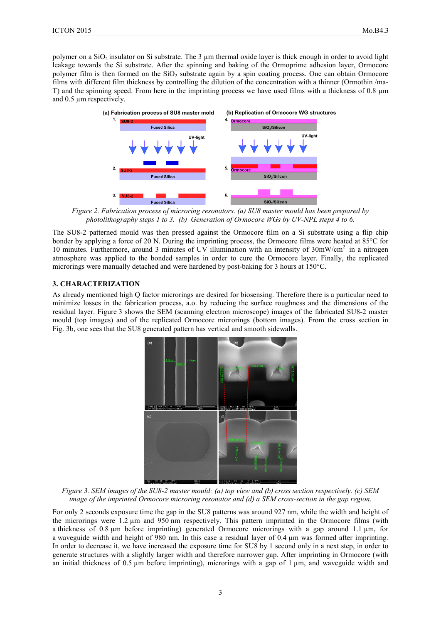polymer on a SiO<sub>2</sub> insulator on Si substrate. The 3 µm thermal oxide layer is thick enough in order to avoid light leakage towards the Si substrate. After the spinning and baking of the Ormoprime adhesion layer, Ormocore polymer film is then formed on the  $SiO<sub>2</sub>$  substrate again by a spin coating process. One can obtain Ormocore films with different film thickness by controlling the dilution of the concentration with a thinner (Ormothin /ma-T) and the spinning speed. From here in the imprinting process we have used films with a thickness of 0.8  $\mu$ m and 0.5 µm respectively.



*Figure 2. Fabrication process of microring resonators. (a) SU8 master mould has been prepared by photolithography steps 1 to 3. (b) Generation of Ormocore WGs by UV-NPL steps 4 to 6.*

The SU8-2 patterned mould was then pressed against the Ormocore film on a Si substrate using a flip chip bonder by applying a force of 20 N. During the imprinting process, the Ormocore films were heated at 85°C for 10 minutes. Furthermore, around 3 minutes of UV illumination with an intensity of 30mW/cm2 in a nitrogen atmosphere was applied to the bonded samples in order to cure the Ormocore layer. Finally, the replicated microrings were manually detached and were hardened by post-baking for 3 hours at 150°C.

## **3. CHARACTERIZATION**

As already mentioned high Q factor microrings are desired for biosensing. Therefore there is a particular need to minimize losses in the fabrication process, a.o. by reducing the surface roughness and the dimensions of the residual layer. Figure 3 shows the SEM (scanning electron microscope) images of the fabricated SU8-2 master mould (top images) and of the replicated Ormocore microrings (bottom images). From the cross section in Fig. 3b, one sees that the SU8 generated pattern has vertical and smooth sidewalls.



*Figure 3. SEM images of the SU8-2 master mould: (a) top view and (b) cross section respectively. (c) SEM image of the imprinted Ormocore microring resonator and (d) a SEM cross-section in the gap region.*

For only 2 seconds exposure time the gap in the SU8 patterns was around 927 nm, while the width and height of the microrings were 1.2 µm and 950 nm respectively. This pattern imprinted in the Ormocore films (with a thickness of 0.8 µm before imprinting) generated Ormocore microrings with a gap around 1.1 µm, for a waveguide width and height of 980 nm. In this case a residual layer of  $0.4 \mu m$  was formed after imprinting. In order to decrease it, we have increased the exposure time for SU8 by 1 second only in a next step, in order to generate structures with a slightly larger width and therefore narrower gap. After imprinting in Ormocore (with an initial thickness of 0.5 um before imprinting), microrings with a gap of 1 um, and waveguide width and